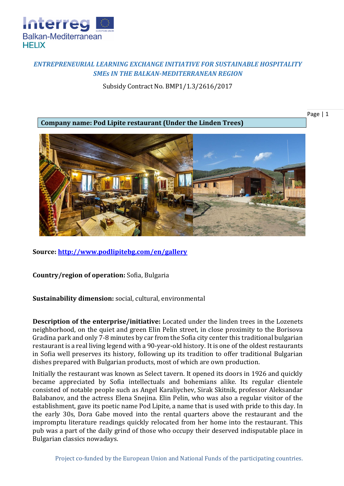

## *ENTREPRENEURIAL LEARNING EXCHANGE INITIATIVE FOR SUSTAINABLE HOSPITALITY SMEs IN THE BALKAN-MEDITERRANEAN REGION*

Subsidy Contract No. BMP1/1.3/2616/2017

**Company name: Pod Lipite restaurant (Under the Linden Trees)**

Page | 1



**Source:<http://www.podlipitebg.com/en/gallery>**

**Country/region of operation:** Sofia, Bulgaria

**Sustainability dimension:** social, cultural, environmental

**Description of the enterprise/initiative:** Located under the linden trees in the Lozenets neighborhood, on the quiet and green Elin Pelin street, in close proximity to the Borisova Gradina park and only 7-8 minutes by car from the Sofia city center this traditional bulgarian restaurant is a real living legend with a 90-year-old history. It is one of the oldest restaurants in Sofia well preserves its history, following up its tradition to offer traditional Bulgarian dishes prepared with Bulgarian products, most of which are own production.

Initially the restaurant was known as Select tavern. It opened its doors in 1926 and quickly became appreciated by Sofia intellectuals and bohemians alike. Its regular clientele consisted of notable people such as Angel Karaliychev, Sirak Skitnik, professor Aleksandar Balabanov, and the actress Elena Snejina. Elin Pelin, who was also a regular visitor of the establishment, gave its poetic name Pod Lipite, a name that is used with pride to this day. In the early 30s, Dora Gabe moved into the rental quarters above the restaurant and the impromptu literature readings quickly relocated from her home into the restaurant. This pub was a part of the daily grind of those who occupy their deserved indisputable place in Bulgarian classics nowadays.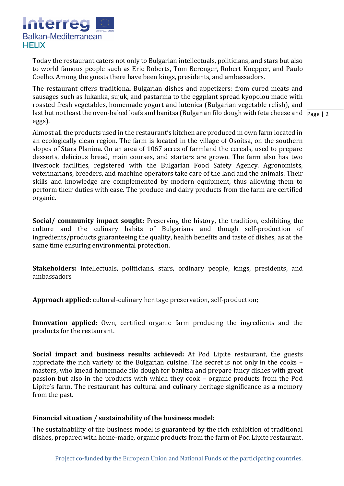

Today the restaurant caters not only to Bulgarian intellectuals, politicians, and stars but also to world famous people such as Eric Roberts, Tom Berenger, Robert Knepper, and Paulo Coelho. Among the guests there have been kings, presidents, and ambassadors.

last but not least the oven-baked loafs and banitsa (Bulgarian filo dough with feta cheese and **Page** | 2 The restaurant offers traditional Bulgarian dishes and appetizers: from cured meats and sausages such as lukanka, sujuk, and pastarma to the eggplant spread kyopolou made with roasted fresh vegetables, homemade yogurt and lutenica (Bulgarian vegetable relish), and eggs).

Almost all the products used in the restaurant's kitchen are produced in own farm located in an ecologically clean region. The farm is located in the village of Osoitsa, on the southern slopes of Stara Planina. On an area of 1067 acres of farmland the cereals, used to prepare desserts, delicious bread, main courses, and starters are grown. The farm also has two livestock facilities, registered with the Bulgarian Food Safety Agency. Agronomists, veterinarians, breeders, and machine operators take care of the land and the animals. Their skills and knowledge are complemented by modern equipment, thus allowing them to perform their duties with ease. The produce and dairy products from the farm are certified organic.

**Social/ community impact sought:** Preserving the history, the tradition, exhibiting the culture and the culinary habits of Bulgarians and though self-production of ingredients/products guaranteeing the quality, health benefits and taste of dishes, as at the same time ensuring environmental protection.

**Stakeholders:** intellectuals, politicians, stars, ordinary people, kings, presidents, and ambassadors

**Approach applied:** cultural-culinary heritage preservation, self-production;

**Innovation applied:** Own, certified organic farm producing the ingredients and the products for the restaurant.

**Social impact and business results achieved:** At Pod Lipite restaurant, the guests appreciate the rich variety of the Bulgarian cuisine. The secret is not only in the cooks – masters, who knead homemade filo dough for banitsa and prepare fancy dishes with great passion but also in the products with which they cook – organic products from the Pod Lipite's farm. The restaurant has cultural and culinary heritage significance as a memory from the past.

## **Financial situation / sustainability of the business model:**

The sustainability of the business model is guaranteed by the rich exhibition of traditional dishes, prepared with home-made, organic products from the farm of Pod Lipite restaurant.